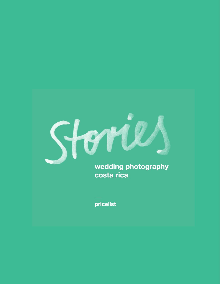

**costa rica**

**pricelist**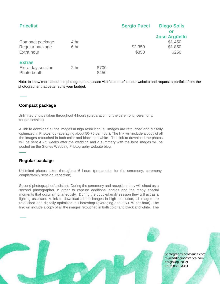| <b>Pricelist</b>                                  |                 |                | <b>Sergio Pucci</b> | <b>Diego Solis</b><br>or<br><b>Jose Argüello</b> |
|---------------------------------------------------|-----------------|----------------|---------------------|--------------------------------------------------|
| Compact package<br>Regular package<br>Extra hour  | 4 hr<br>6 hr    |                | \$2.350<br>\$350    | \$1.450<br>\$1.850<br>\$250                      |
| <b>Extras</b><br>Extra day session<br>Photo booth | 2 <sub>hr</sub> | \$700<br>\$450 |                     |                                                  |

Note: to know more about the photographers please visit "about us" on our website and request a portfolio from the photographer that better suits your budget.

# **Compact package**

 Unlimited photos taken throughout 4 hours (preparation for the ceremony, ceremony, couple session).

A link to download all the images in high resolution, all images are retouched and digitally optimized in Photoshop (averaging about 50-75 per hour). The link will include a copy of all the images retouched in both color and black and white. The link to download the photos will be sent 4 - 5 weeks after the wedding and a summary with the best images will be posted on the Stories Wedding Photography website blog.

# **Regular package**

Unlimited photos taken throughout 6 hours (preparation for the ceremony, ceremony, couple/family session, reception).

Second photographer/assistant. During the ceremony and reception, they will shoot as a second photographer in order to capture additional angles and the many special moments that occur simultaneously. During the couple/family session they will act as a lighting assistant. A link to download all the images in high resolution, all images are retouched and digitally optimized in Photoshop (averaging about 50-75 per hour). The link will include a copy of all the images retouched in both color and black and white. The



photographyincostarica.com myweddingincostarica.com sergio@pucci.cr +506.8892.3351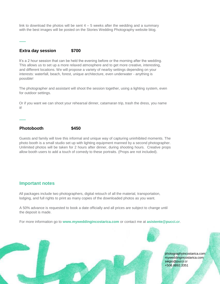link to download the photos will be sent  $4 - 5$  weeks after the wedding and a summary with the best images will be posted on the Stories Wedding Photography website blog.

## **Extra day session \$700**

It's a 2 hour session that can be held the evening before or the morning after the wedding. This allows us to set up a more relaxed atmosphere and to get more creative, interesting, and different locations. We will propose a variety of nearby settings depending on your interests: waterfall, beach, forest, unique architecture, even underwater - anything is possible!

The photographer and assistant will shoot the session together, using a lighting system, even for outdoor settings.

Or if you want we can shoot your rehearsal dinner, catamaran trip, trash the dress, you name it!

## **Photobooth \$450**

Guests and family will love this informal and unique way of capturing uninhibited moments. The photo booth is a small studio set up with lighting equipment manned by a second photographer. Unlimited photos will be taken for 2 hours after dinner, during shooting hours. Creative props allow booth users to add a touch of comedy to these portraits. (Props are not included).

## **Important notes**

All packages include two photographers, digital retouch of all the material, transportation, lodging, and full rights to print as many copies of the downloaded photos as you want.

A 50% advance is requested to book a date officially and all prices are subject to change until the deposit is made.

For more information go to **[www.myweddingincostarica.com](http://www.myweddingincostarica.com/)** [or](http://www.myweddingincostarica.com/) contact me at **asistente@pucci.cr**.



photographyincostarica.com myweddingincostarica.com sergio@pucci.cr +506.8892.3351